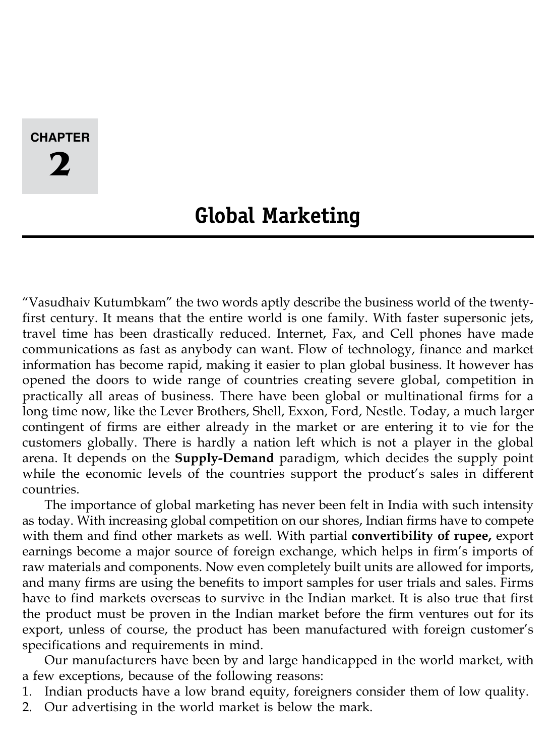# **CHAPTER 2**

# **Global Marketing**

"Vasudhaiv Kutumbkam" the two words aptly describe the business world of the twentyfirst century. It means that the entire world is one family. With faster supersonic jets, travel time has been drastically reduced. Internet, Fax, and Cell phones have made communications as fast as anybody can want. Flow of technology, finance and market information has become rapid, making it easier to plan global business. It however has opened the doors to wide range of countries creating severe global, competition in practically all areas of business. There have been global or multinational firms for a long time now, like the Lever Brothers, Shell, Exxon, Ford, Nestle. Today, a much larger contingent of firms are either already in the market or are entering it to vie for the customers globally. There is hardly a nation left which is not a player in the global arena. It depends on the **Supply-Demand** paradigm, which decides the supply point while the economic levels of the countries support the product's sales in different countries.

The importance of global marketing has never been felt in India with such intensity as today. With increasing global competition on our shores, Indian firms have to compete with them and find other markets as well. With partial **convertibility of rupee,** export earnings become a major source of foreign exchange, which helps in firm's imports of raw materials and components. Now even completely built units are allowed for imports, and many firms are using the benefits to import samples for user trials and sales. Firms have to find markets overseas to survive in the Indian market. It is also true that first the product must be proven in the Indian market before the firm ventures out for its export, unless of course, the product has been manufactured with foreign customer's specifications and requirements in mind.

Our manufacturers have been by and large handicapped in the world market, with a few exceptions, because of the following reasons:

- 1. Indian products have a low brand equity, foreigners consider them of low quality.
- 2. Our advertising in the world market is below the mark.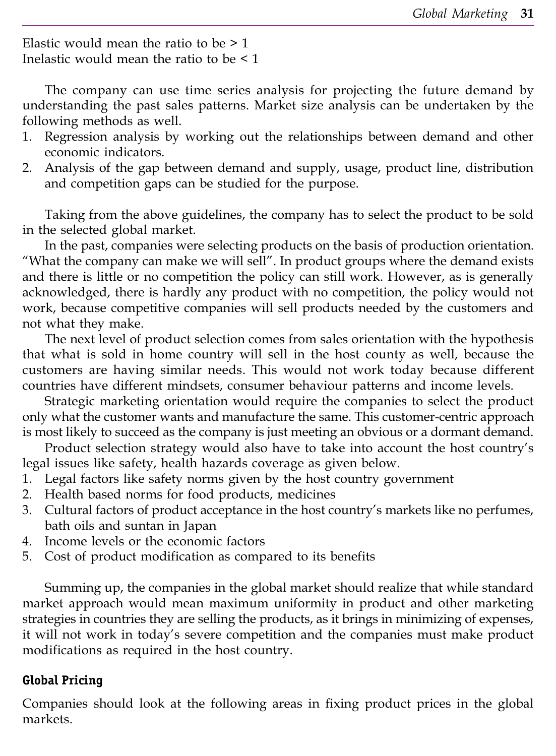Elastic would mean the ratio to be  $> 1$ Inelastic would mean the ratio to be < 1

The company can use time series analysis for projecting the future demand by understanding the past sales patterns. Market size analysis can be undertaken by the following methods as well.

- 1. Regression analysis by working out the relationships between demand and other economic indicators.
- 2. Analysis of the gap between demand and supply, usage, product line, distribution and competition gaps can be studied for the purpose.

Taking from the above guidelines, the company has to select the product to be sold in the selected global market.

In the past, companies were selecting products on the basis of production orientation. "What the company can make we will sell". In product groups where the demand exists and there is little or no competition the policy can still work. However, as is generally acknowledged, there is hardly any product with no competition, the policy would not work, because competitive companies will sell products needed by the customers and not what they make.

The next level of product selection comes from sales orientation with the hypothesis that what is sold in home country will sell in the host county as well, because the customers are having similar needs. This would not work today because different countries have different mindsets, consumer behaviour patterns and income levels.

Strategic marketing orientation would require the companies to select the product only what the customer wants and manufacture the same. This customer-centric approach is most likely to succeed as the company is just meeting an obvious or a dormant demand.

Product selection strategy would also have to take into account the host country's legal issues like safety, health hazards coverage as given below.

- 1. Legal factors like safety norms given by the host country government
- 2. Health based norms for food products, medicines
- 3. Cultural factors of product acceptance in the host country's markets like no perfumes, bath oils and suntan in Japan
- 4. Income levels or the economic factors
- 5. Cost of product modification as compared to its benefits

Summing up, the companies in the global market should realize that while standard market approach would mean maximum uniformity in product and other marketing strategies in countries they are selling the products, as it brings in minimizing of expenses, it will not work in today's severe competition and the companies must make product modifications as required in the host country.

#### **Global Pricing**

Companies should look at the following areas in fixing product prices in the global markets.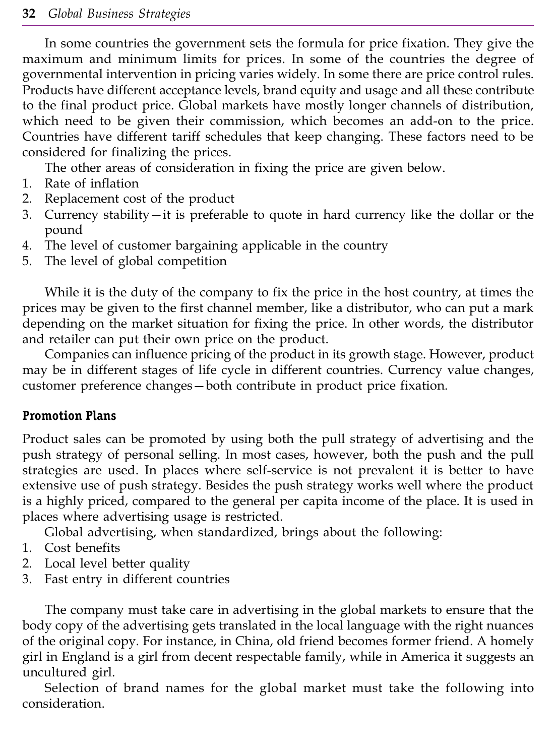In some countries the government sets the formula for price fixation. They give the maximum and minimum limits for prices. In some of the countries the degree of governmental intervention in pricing varies widely. In some there are price control rules. Products have different acceptance levels, brand equity and usage and all these contribute to the final product price. Global markets have mostly longer channels of distribution, which need to be given their commission, which becomes an add-on to the price. Countries have different tariff schedules that keep changing. These factors need to be considered for finalizing the prices.

The other areas of consideration in fixing the price are given below.

- 1. Rate of inflation
- 2. Replacement cost of the product
- 3. Currency stability—it is preferable to quote in hard currency like the dollar or the pound
- 4. The level of customer bargaining applicable in the country
- 5. The level of global competition

While it is the duty of the company to fix the price in the host country, at times the prices may be given to the first channel member, like a distributor, who can put a mark depending on the market situation for fixing the price. In other words, the distributor and retailer can put their own price on the product.

Companies can influence pricing of the product in its growth stage. However, product may be in different stages of life cycle in different countries. Currency value changes, customer preference changes—both contribute in product price fixation.

# **Promotion Plans**

Product sales can be promoted by using both the pull strategy of advertising and the push strategy of personal selling. In most cases, however, both the push and the pull strategies are used. In places where self-service is not prevalent it is better to have extensive use of push strategy. Besides the push strategy works well where the product is a highly priced, compared to the general per capita income of the place. It is used in places where advertising usage is restricted.

Global advertising, when standardized, brings about the following:

- 1. Cost benefits
- 2. Local level better quality
- 3. Fast entry in different countries

The company must take care in advertising in the global markets to ensure that the body copy of the advertising gets translated in the local language with the right nuances of the original copy. For instance, in China, old friend becomes former friend. A homely girl in England is a girl from decent respectable family, while in America it suggests an uncultured girl.

Selection of brand names for the global market must take the following into consideration.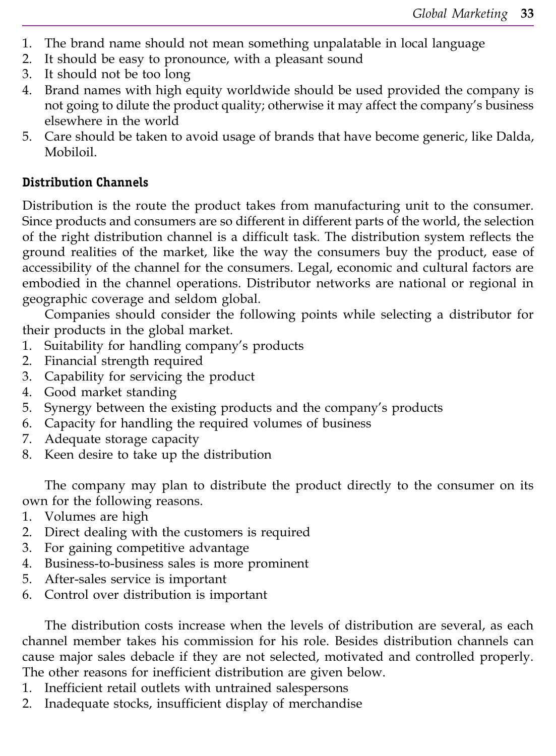- 1. The brand name should not mean something unpalatable in local language
- 2. It should be easy to pronounce, with a pleasant sound
- 3. It should not be too long
- 4. Brand names with high equity worldwide should be used provided the company is not going to dilute the product quality; otherwise it may affect the company's business elsewhere in the world
- 5. Care should be taken to avoid usage of brands that have become generic, like Dalda, Mobiloil.

# **Distribution Channels**

Distribution is the route the product takes from manufacturing unit to the consumer. Since products and consumers are so different in different parts of the world, the selection of the right distribution channel is a difficult task. The distribution system reflects the ground realities of the market, like the way the consumers buy the product, ease of accessibility of the channel for the consumers. Legal, economic and cultural factors are embodied in the channel operations. Distributor networks are national or regional in geographic coverage and seldom global.

Companies should consider the following points while selecting a distributor for their products in the global market.

- 1. Suitability for handling company's products
- 2. Financial strength required
- 3. Capability for servicing the product
- 4. Good market standing
- 5. Synergy between the existing products and the company's products
- 6. Capacity for handling the required volumes of business
- 7. Adequate storage capacity
- 8. Keen desire to take up the distribution

The company may plan to distribute the product directly to the consumer on its own for the following reasons.

- 1. Volumes are high
- 2. Direct dealing with the customers is required
- 3. For gaining competitive advantage
- 4. Business-to-business sales is more prominent
- 5. After-sales service is important
- 6. Control over distribution is important

The distribution costs increase when the levels of distribution are several, as each channel member takes his commission for his role. Besides distribution channels can cause major sales debacle if they are not selected, motivated and controlled properly. The other reasons for inefficient distribution are given below.

- 1. Inefficient retail outlets with untrained salespersons
- 2. Inadequate stocks, insufficient display of merchandise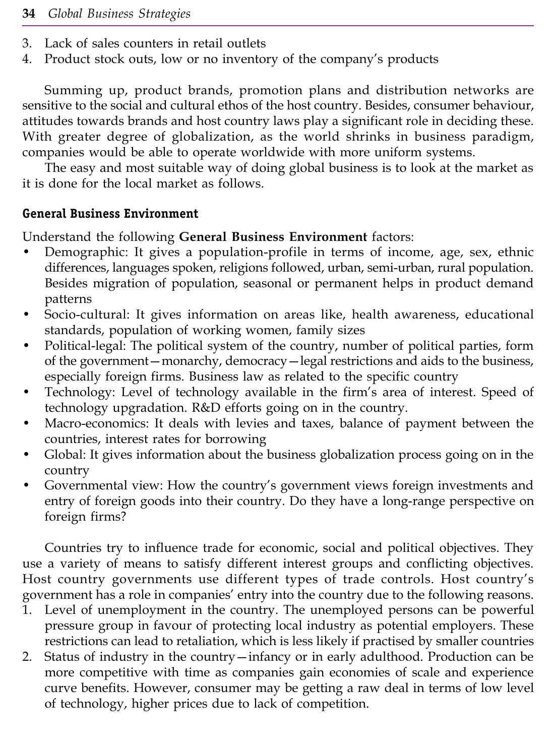- 3. Lack of sales counters in retail outlets
- 4. Product stock outs, low or no inventory of the company's products

Summing up, product brands, promotion plans and distribution networks are sensitive to the social and cultural ethos of the host country. Besides, consumer behaviour, attitudes towards brands and host country laws play a significant role in deciding these. With greater degree of globalization, as the world shrinks in business paradigm, companies would be able to operate worldwide with more uniform systems.

The easy and most suitable way of doing global business is to look at the market as it is done for the local market as follows.

#### **General Business Environment**

Understand the following **General Business Environment** factors:

- Demographic: It gives a population-profile in terms of income, age, sex, ethnic differences, languages spoken, religions followed, urban, semi-urban, rural population. Besides migration of population, seasonal or permanent helps in product demand patterns
- Socio-cultural: It gives information on areas like, health awareness, educational standards, population of working women, family sizes
- Political-legal: The political system of the country, number of political parties, form of the government—monarchy, democracy—legal restrictions and aids to the business, especially foreign firms. Business law as related to the specific country
- Technology: Level of technology available in the firm's area of interest. Speed of technology upgradation. R&D efforts going on in the country.
- Macro-economics: It deals with levies and taxes, balance of payment between the countries, interest rates for borrowing
- Global: It gives information about the business globalization process going on in the country
- Governmental view: How the country's government views foreign investments and entry of foreign goods into their country. Do they have a long-range perspective on foreign firms?

Countries try to influence trade for economic, social and political objectives. They use a variety of means to satisfy different interest groups and conflicting objectives. Host country governments use different types of trade controls. Host country's government has a role in companies' entry into the country due to the following reasons.

- 1. Level of unemployment in the country. The unemployed persons can be powerful pressure group in favour of protecting local industry as potential employers. These restrictions can lead to retaliation, which is less likely if practised by smaller countries
- 2. Status of industry in the country—infancy or in early adulthood. Production can be more competitive with time as companies gain economies of scale and experience curve benefits. However, consumer may be getting a raw deal in terms of low level of technology, higher prices due to lack of competition.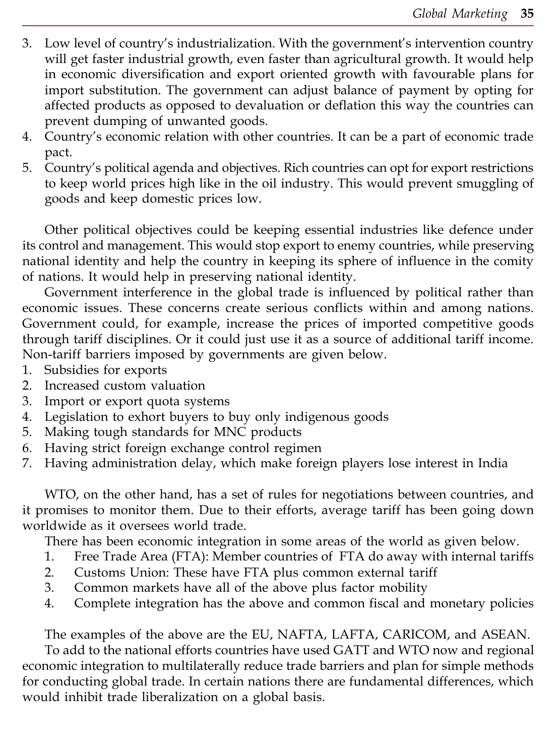- 3. Low level of country's industrialization. With the government's intervention country will get faster industrial growth, even faster than agricultural growth. It would help in economic diversification and export oriented growth with favourable plans for import substitution. The government can adjust balance of payment by opting for affected products as opposed to devaluation or deflation this way the countries can prevent dumping of unwanted goods.
- 4. Country's economic relation with other countries. It can be a part of economic trade pact.
- 5. Country's political agenda and objectives. Rich countries can opt for export restrictions to keep world prices high like in the oil industry. This would prevent smuggling of goods and keep domestic prices low.

Other political objectives could be keeping essential industries like defence under its control and management. This would stop export to enemy countries, while preserving national identity and help the country in keeping its sphere of influence in the comity of nations. It would help in preserving national identity.

Government interference in the global trade is influenced by political rather than economic issues. These concerns create serious conflicts within and among nations. Government could, for example, increase the prices of imported competitive goods through tariff disciplines. Or it could just use it as a source of additional tariff income. Non-tariff barriers imposed by governments are given below.

- 1. Subsidies for exports
- 2. Increased custom valuation
- 3. Import or export quota systems
- 4. Legislation to exhort buyers to buy only indigenous goods
- 5. Making tough standards for MNC products
- 6. Having strict foreign exchange control regimen
- 7. Having administration delay, which make foreign players lose interest in India

WTO, on the other hand, has a set of rules for negotiations between countries, and it promises to monitor them. Due to their efforts, average tariff has been going down worldwide as it oversees world trade.

There has been economic integration in some areas of the world as given below.

- 1. Free Trade Area (FTA): Member countries of FTA do away with internal tariffs
- 2. Customs Union: These have FTA plus common external tariff
- 3. Common markets have all of the above plus factor mobility
- 4. Complete integration has the above and common fiscal and monetary policies

The examples of the above are the EU, NAFTA, LAFTA, CARICOM, and ASEAN.

To add to the national efforts countries have used GATT and WTO now and regional economic integration to multilaterally reduce trade barriers and plan for simple methods for conducting global trade. In certain nations there are fundamental differences, which would inhibit trade liberalization on a global basis.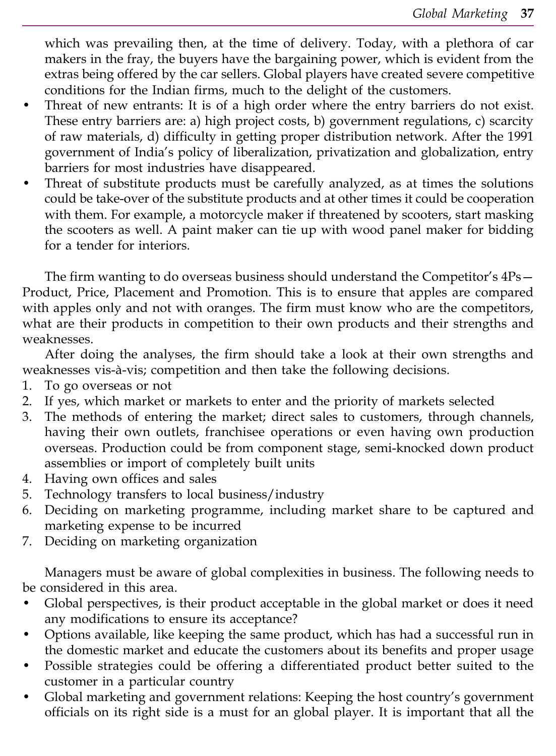which was prevailing then, at the time of delivery. Today, with a plethora of car makers in the fray, the buyers have the bargaining power, which is evident from the extras being offered by the car sellers. Global players have created severe competitive conditions for the Indian firms, much to the delight of the customers.

- Threat of new entrants: It is of a high order where the entry barriers do not exist. These entry barriers are: a) high project costs, b) government regulations, c) scarcity of raw materials, d) difficulty in getting proper distribution network. After the 1991 government of India's policy of liberalization, privatization and globalization, entry barriers for most industries have disappeared.
- Threat of substitute products must be carefully analyzed, as at times the solutions could be take-over of the substitute products and at other times it could be cooperation with them. For example, a motorcycle maker if threatened by scooters, start masking the scooters as well. A paint maker can tie up with wood panel maker for bidding for a tender for interiors.

The firm wanting to do overseas business should understand the Competitor's 4Ps— Product, Price, Placement and Promotion. This is to ensure that apples are compared with apples only and not with oranges. The firm must know who are the competitors, what are their products in competition to their own products and their strengths and weaknesses.

After doing the analyses, the firm should take a look at their own strengths and weaknesses vis-à-vis; competition and then take the following decisions.

- 1. To go overseas or not
- 2. If yes, which market or markets to enter and the priority of markets selected
- 3. The methods of entering the market; direct sales to customers, through channels, having their own outlets, franchisee operations or even having own production overseas. Production could be from component stage, semi-knocked down product assemblies or import of completely built units
- 4. Having own offices and sales
- 5. Technology transfers to local business/industry
- 6. Deciding on marketing programme, including market share to be captured and marketing expense to be incurred
- 7. Deciding on marketing organization

Managers must be aware of global complexities in business. The following needs to be considered in this area.

- Global perspectives, is their product acceptable in the global market or does it need any modifications to ensure its acceptance?
- Options available, like keeping the same product, which has had a successful run in the domestic market and educate the customers about its benefits and proper usage
- Possible strategies could be offering a differentiated product better suited to the customer in a particular country
- Global marketing and government relations: Keeping the host country's government officials on its right side is a must for an global player. It is important that all the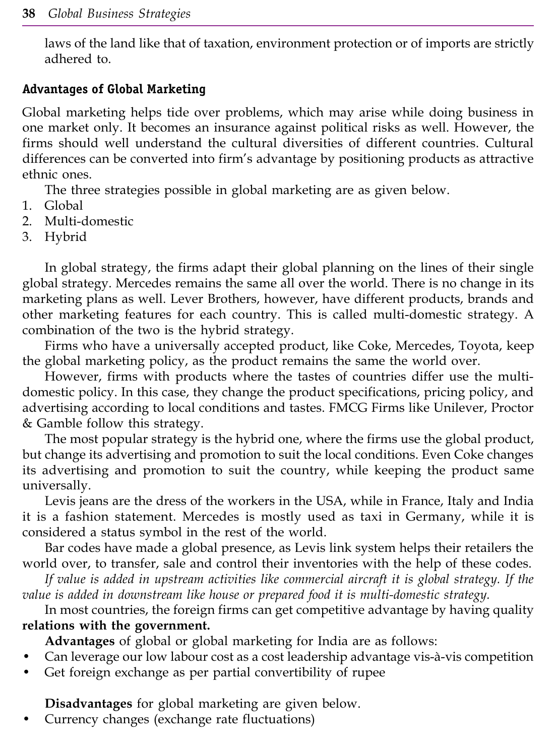laws of the land like that of taxation, environment protection or of imports are strictly adhered to.

#### **Advantages of Global Marketing**

Global marketing helps tide over problems, which may arise while doing business in one market only. It becomes an insurance against political risks as well. However, the firms should well understand the cultural diversities of different countries. Cultural differences can be converted into firm's advantage by positioning products as attractive ethnic ones.

The three strategies possible in global marketing are as given below.

- 1. Global
- 2. Multi-domestic
- 3. Hybrid

In global strategy, the firms adapt their global planning on the lines of their single global strategy. Mercedes remains the same all over the world. There is no change in its marketing plans as well. Lever Brothers, however, have different products, brands and other marketing features for each country. This is called multi-domestic strategy. A combination of the two is the hybrid strategy.

Firms who have a universally accepted product, like Coke, Mercedes, Toyota, keep the global marketing policy, as the product remains the same the world over.

However, firms with products where the tastes of countries differ use the multidomestic policy. In this case, they change the product specifications, pricing policy, and advertising according to local conditions and tastes. FMCG Firms like Unilever, Proctor & Gamble follow this strategy.

The most popular strategy is the hybrid one, where the firms use the global product, but change its advertising and promotion to suit the local conditions. Even Coke changes its advertising and promotion to suit the country, while keeping the product same universally.

Levis jeans are the dress of the workers in the USA, while in France, Italy and India it is a fashion statement. Mercedes is mostly used as taxi in Germany, while it is considered a status symbol in the rest of the world.

Bar codes have made a global presence, as Levis link system helps their retailers the world over, to transfer, sale and control their inventories with the help of these codes.

*If value is added in upstream activities like commercial aircraft it is global strategy. If the value is added in downstream like house or prepared food it is multi-domestic strategy.*

In most countries, the foreign firms can get competitive advantage by having quality **relations with the government.**

**Advantages** of global or global marketing for India are as follows:

- Can leverage our low labour cost as a cost leadership advantage vis-à-vis competition
- Get foreign exchange as per partial convertibility of rupee

**Disadvantages** for global marketing are given below.

• Currency changes (exchange rate fluctuations)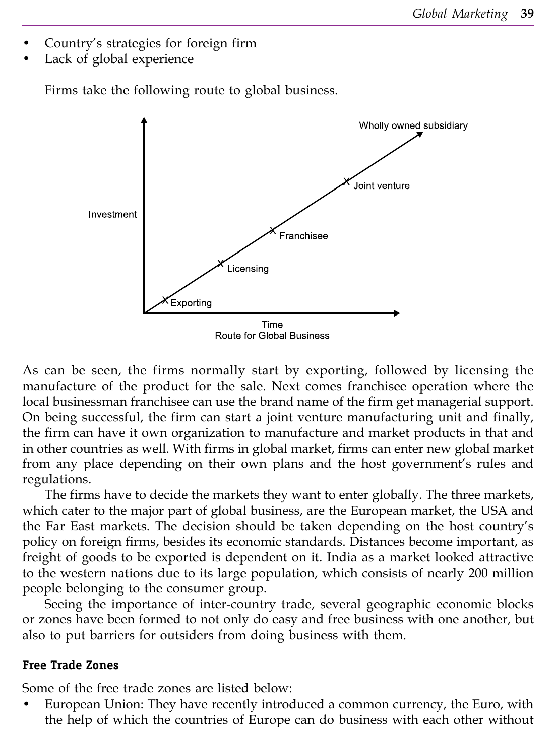- Country's strategies for foreign firm
- Lack of global experience

Firms take the following route to global business.



As can be seen, the firms normally start by exporting, followed by licensing the manufacture of the product for the sale. Next comes franchisee operation where the local businessman franchisee can use the brand name of the firm get managerial support. On being successful, the firm can start a joint venture manufacturing unit and finally, the firm can have it own organization to manufacture and market products in that and in other countries as well. With firms in global market, firms can enter new global market from any place depending on their own plans and the host government's rules and regulations.

The firms have to decide the markets they want to enter globally. The three markets, which cater to the major part of global business, are the European market, the USA and the Far East markets. The decision should be taken depending on the host country's policy on foreign firms, besides its economic standards. Distances become important, as freight of goods to be exported is dependent on it. India as a market looked attractive to the western nations due to its large population, which consists of nearly 200 million people belonging to the consumer group.

Seeing the importance of inter-country trade, several geographic economic blocks or zones have been formed to not only do easy and free business with one another, but also to put barriers for outsiders from doing business with them.

#### **Free Trade Zones**

Some of the free trade zones are listed below:

• European Union: They have recently introduced a common currency, the Euro, with the help of which the countries of Europe can do business with each other without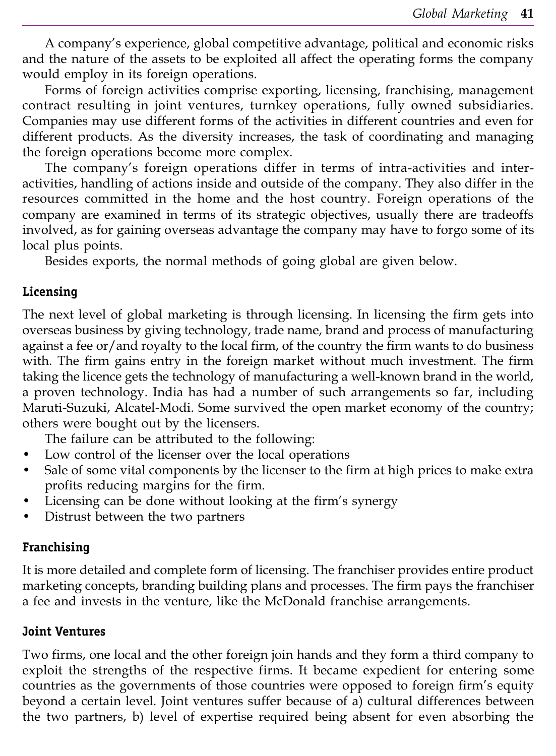A company's experience, global competitive advantage, political and economic risks and the nature of the assets to be exploited all affect the operating forms the company would employ in its foreign operations.

Forms of foreign activities comprise exporting, licensing, franchising, management contract resulting in joint ventures, turnkey operations, fully owned subsidiaries. Companies may use different forms of the activities in different countries and even for different products. As the diversity increases, the task of coordinating and managing the foreign operations become more complex.

The company's foreign operations differ in terms of intra-activities and interactivities, handling of actions inside and outside of the company. They also differ in the resources committed in the home and the host country. Foreign operations of the company are examined in terms of its strategic objectives, usually there are tradeoffs involved, as for gaining overseas advantage the company may have to forgo some of its local plus points.

Besides exports, the normal methods of going global are given below.

# **Licensing**

The next level of global marketing is through licensing. In licensing the firm gets into overseas business by giving technology, trade name, brand and process of manufacturing against a fee or/and royalty to the local firm, of the country the firm wants to do business with. The firm gains entry in the foreign market without much investment. The firm taking the licence gets the technology of manufacturing a well-known brand in the world, a proven technology. India has had a number of such arrangements so far, including Maruti-Suzuki, Alcatel-Modi. Some survived the open market economy of the country; others were bought out by the licensers.

The failure can be attributed to the following:

- Low control of the licenser over the local operations
- Sale of some vital components by the licenser to the firm at high prices to make extra profits reducing margins for the firm.
- Licensing can be done without looking at the firm's synergy
- Distrust between the two partners

# **Franchising**

It is more detailed and complete form of licensing. The franchiser provides entire product marketing concepts, branding building plans and processes. The firm pays the franchiser a fee and invests in the venture, like the McDonald franchise arrangements.

#### **Joint Ventures**

Two firms, one local and the other foreign join hands and they form a third company to exploit the strengths of the respective firms. It became expedient for entering some countries as the governments of those countries were opposed to foreign firm's equity beyond a certain level. Joint ventures suffer because of a) cultural differences between the two partners, b) level of expertise required being absent for even absorbing the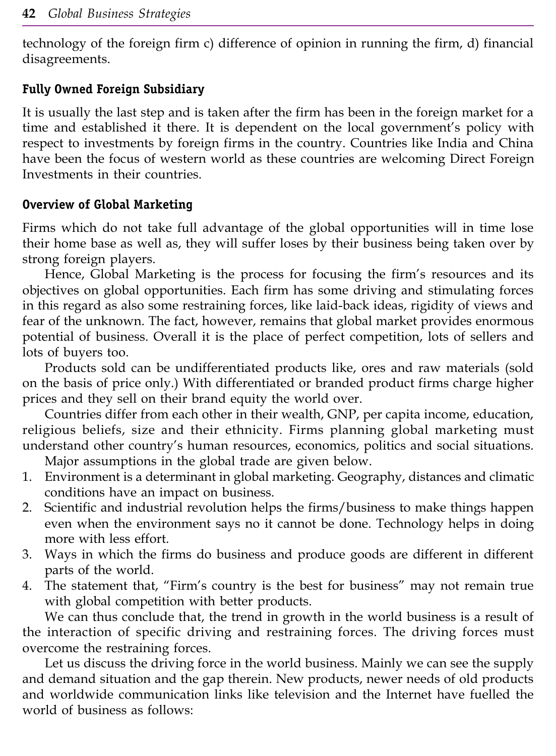technology of the foreign firm c) difference of opinion in running the firm, d) financial disagreements.

# **Fully Owned Foreign Subsidiary**

It is usually the last step and is taken after the firm has been in the foreign market for a time and established it there. It is dependent on the local government's policy with respect to investments by foreign firms in the country. Countries like India and China have been the focus of western world as these countries are welcoming Direct Foreign Investments in their countries.

#### **Overview of Global Marketing**

Firms which do not take full advantage of the global opportunities will in time lose their home base as well as, they will suffer loses by their business being taken over by strong foreign players.

Hence, Global Marketing is the process for focusing the firm's resources and its objectives on global opportunities. Each firm has some driving and stimulating forces in this regard as also some restraining forces, like laid-back ideas, rigidity of views and fear of the unknown. The fact, however, remains that global market provides enormous potential of business. Overall it is the place of perfect competition, lots of sellers and lots of buyers too.

Products sold can be undifferentiated products like, ores and raw materials (sold on the basis of price only.) With differentiated or branded product firms charge higher prices and they sell on their brand equity the world over.

Countries differ from each other in their wealth, GNP, per capita income, education, religious beliefs, size and their ethnicity. Firms planning global marketing must understand other country's human resources, economics, politics and social situations.

Major assumptions in the global trade are given below.

- 1. Environment is a determinant in global marketing. Geography, distances and climatic conditions have an impact on business.
- 2. Scientific and industrial revolution helps the firms/business to make things happen even when the environment says no it cannot be done. Technology helps in doing more with less effort.
- 3. Ways in which the firms do business and produce goods are different in different parts of the world.
- 4. The statement that, "Firm's country is the best for business" may not remain true with global competition with better products.

We can thus conclude that, the trend in growth in the world business is a result of the interaction of specific driving and restraining forces. The driving forces must overcome the restraining forces.

Let us discuss the driving force in the world business. Mainly we can see the supply and demand situation and the gap therein. New products, newer needs of old products and worldwide communication links like television and the Internet have fuelled the world of business as follows: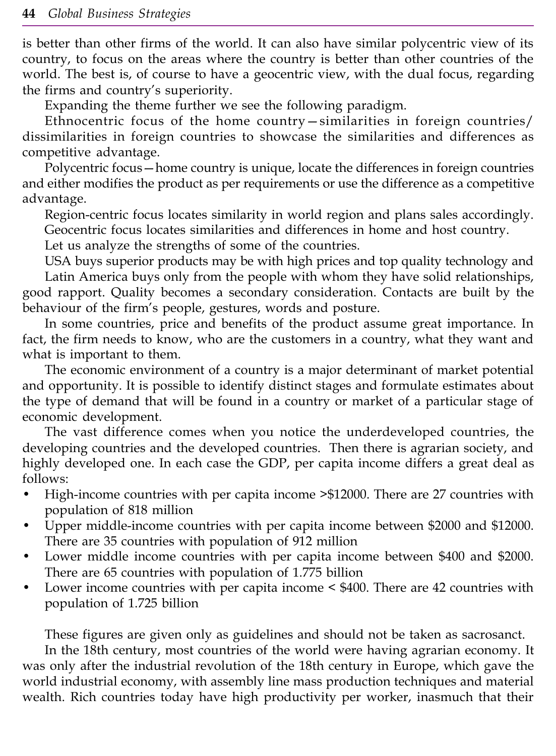is better than other firms of the world. It can also have similar polycentric view of its country, to focus on the areas where the country is better than other countries of the world. The best is, of course to have a geocentric view, with the dual focus, regarding the firms and country's superiority.

Expanding the theme further we see the following paradigm.

Ethnocentric focus of the home country—similarities in foreign countries/ dissimilarities in foreign countries to showcase the similarities and differences as competitive advantage.

Polycentric focus—home country is unique, locate the differences in foreign countries and either modifies the product as per requirements or use the difference as a competitive advantage.

Region-centric focus locates similarity in world region and plans sales accordingly. Geocentric focus locates similarities and differences in home and host country.

Let us analyze the strengths of some of the countries.

USA buys superior products may be with high prices and top quality technology and Latin America buys only from the people with whom they have solid relationships, good rapport. Quality becomes a secondary consideration. Contacts are built by the behaviour of the firm's people, gestures, words and posture.

In some countries, price and benefits of the product assume great importance. In fact, the firm needs to know, who are the customers in a country, what they want and what is important to them.

The economic environment of a country is a major determinant of market potential and opportunity. It is possible to identify distinct stages and formulate estimates about the type of demand that will be found in a country or market of a particular stage of economic development.

The vast difference comes when you notice the underdeveloped countries, the developing countries and the developed countries. Then there is agrarian society, and highly developed one. In each case the GDP, per capita income differs a great deal as follows:

- High-income countries with per capita income >\$12000. There are 27 countries with population of 818 million
- Upper middle-income countries with per capita income between \$2000 and \$12000. There are 35 countries with population of 912 million
- Lower middle income countries with per capita income between \$400 and \$2000. There are 65 countries with population of 1.775 billion
- Lower income countries with per capita income < \$400. There are 42 countries with population of 1.725 billion

These figures are given only as guidelines and should not be taken as sacrosanct.

In the 18th century, most countries of the world were having agrarian economy. It was only after the industrial revolution of the 18th century in Europe, which gave the world industrial economy, with assembly line mass production techniques and material wealth. Rich countries today have high productivity per worker, inasmuch that their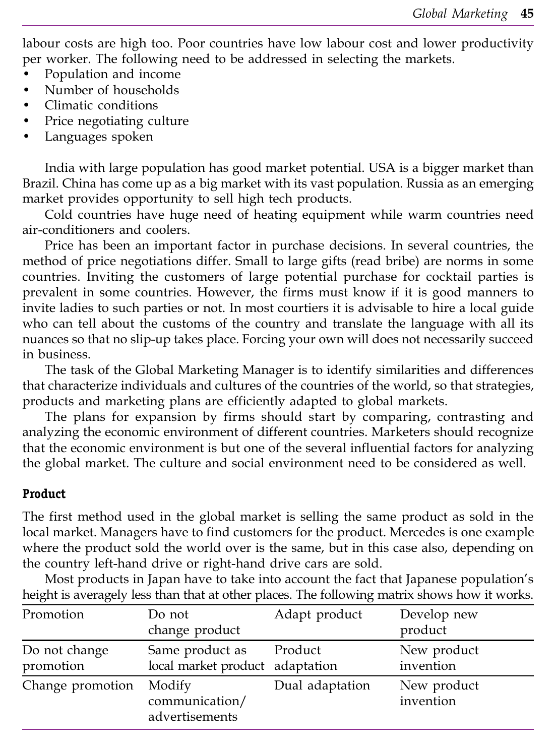labour costs are high too. Poor countries have low labour cost and lower productivity per worker. The following need to be addressed in selecting the markets.

- Population and income
- Number of households
- Climatic conditions
- Price negotiating culture
- Languages spoken

India with large population has good market potential. USA is a bigger market than Brazil. China has come up as a big market with its vast population. Russia as an emerging market provides opportunity to sell high tech products.

Cold countries have huge need of heating equipment while warm countries need air-conditioners and coolers.

Price has been an important factor in purchase decisions. In several countries, the method of price negotiations differ. Small to large gifts (read bribe) are norms in some countries. Inviting the customers of large potential purchase for cocktail parties is prevalent in some countries. However, the firms must know if it is good manners to invite ladies to such parties or not. In most courtiers it is advisable to hire a local guide who can tell about the customs of the country and translate the language with all its nuances so that no slip-up takes place. Forcing your own will does not necessarily succeed in business.

The task of the Global Marketing Manager is to identify similarities and differences that characterize individuals and cultures of the countries of the world, so that strategies, products and marketing plans are efficiently adapted to global markets.

The plans for expansion by firms should start by comparing, contrasting and analyzing the economic environment of different countries. Marketers should recognize that the economic environment is but one of the several influential factors for analyzing the global market. The culture and social environment need to be considered as well.

#### **Product**

The first method used in the global market is selling the same product as sold in the local market. Managers have to find customers for the product. Mercedes is one example where the product sold the world over is the same, but in this case also, depending on the country left-hand drive or right-hand drive cars are sold.

Most products in Japan have to take into account the fact that Japanese population's height is averagely less than that at other places. The following matrix shows how it works.

| Promotion                  | Do not<br>change product                           | Adapt product   | Develop new<br>product   |
|----------------------------|----------------------------------------------------|-----------------|--------------------------|
| Do not change<br>promotion | Same product as<br>local market product adaptation | Product         | New product<br>invention |
| Change promotion           | Modify<br>communication/<br>advertisements         | Dual adaptation | New product<br>invention |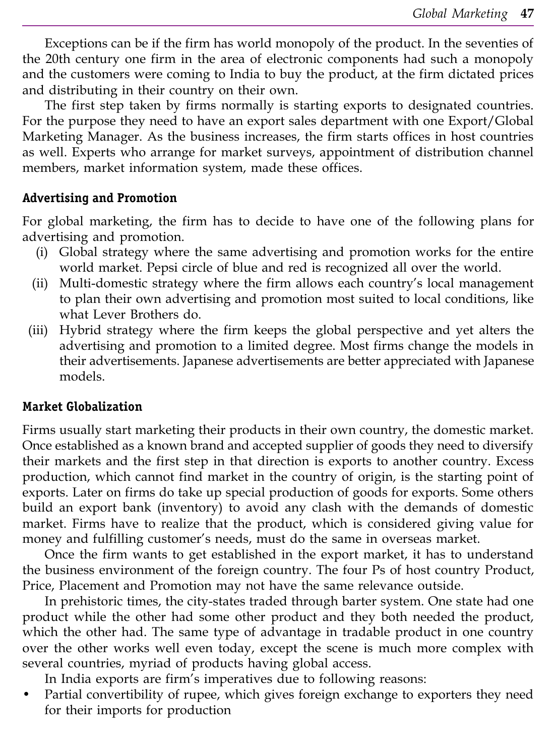Exceptions can be if the firm has world monopoly of the product. In the seventies of the 20th century one firm in the area of electronic components had such a monopoly and the customers were coming to India to buy the product, at the firm dictated prices and distributing in their country on their own.

The first step taken by firms normally is starting exports to designated countries. For the purpose they need to have an export sales department with one Export/Global Marketing Manager. As the business increases, the firm starts offices in host countries as well. Experts who arrange for market surveys, appointment of distribution channel members, market information system, made these offices.

#### **Advertising and Promotion**

For global marketing, the firm has to decide to have one of the following plans for advertising and promotion.

- (i) Global strategy where the same advertising and promotion works for the entire world market. Pepsi circle of blue and red is recognized all over the world.
- (ii) Multi-domestic strategy where the firm allows each country's local management to plan their own advertising and promotion most suited to local conditions, like what Lever Brothers do.
- (iii) Hybrid strategy where the firm keeps the global perspective and yet alters the advertising and promotion to a limited degree. Most firms change the models in their advertisements. Japanese advertisements are better appreciated with Japanese models.

# **Market Globalization**

Firms usually start marketing their products in their own country, the domestic market. Once established as a known brand and accepted supplier of goods they need to diversify their markets and the first step in that direction is exports to another country. Excess production, which cannot find market in the country of origin, is the starting point of exports. Later on firms do take up special production of goods for exports. Some others build an export bank (inventory) to avoid any clash with the demands of domestic market. Firms have to realize that the product, which is considered giving value for money and fulfilling customer's needs, must do the same in overseas market.

Once the firm wants to get established in the export market, it has to understand the business environment of the foreign country. The four Ps of host country Product, Price, Placement and Promotion may not have the same relevance outside.

In prehistoric times, the city-states traded through barter system. One state had one product while the other had some other product and they both needed the product, which the other had. The same type of advantage in tradable product in one country over the other works well even today, except the scene is much more complex with several countries, myriad of products having global access.

In India exports are firm's imperatives due to following reasons:

Partial convertibility of rupee, which gives foreign exchange to exporters they need for their imports for production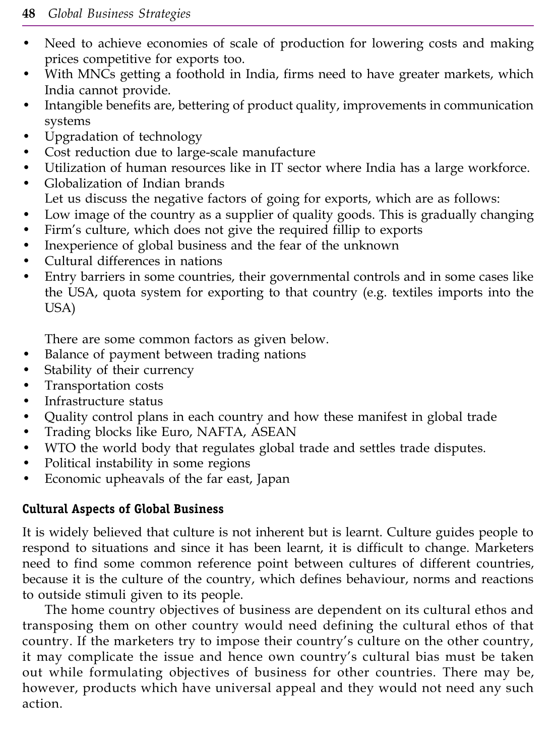- Need to achieve economies of scale of production for lowering costs and making prices competitive for exports too.
- With MNCs getting a foothold in India, firms need to have greater markets, which India cannot provide.
- Intangible benefits are, bettering of product quality, improvements in communication systems
- Upgradation of technology
- Cost reduction due to large-scale manufacture
- Utilization of human resources like in IT sector where India has a large workforce.
- Globalization of Indian brands Let us discuss the negative factors of going for exports, which are as follows:
- Low image of the country as a supplier of quality goods. This is gradually changing
- Firm's culture, which does not give the required fillip to exports
- Inexperience of global business and the fear of the unknown
- Cultural differences in nations
- Entry barriers in some countries, their governmental controls and in some cases like the USA, quota system for exporting to that country (e.g. textiles imports into the USA)

There are some common factors as given below.

- Balance of payment between trading nations
- Stability of their currency
- Transportation costs
- Infrastructure status
- Quality control plans in each country and how these manifest in global trade
- Trading blocks like Euro, NAFTA, ASEAN
- WTO the world body that regulates global trade and settles trade disputes.
- Political instability in some regions
- Economic upheavals of the far east, Japan

# **Cultural Aspects of Global Business**

It is widely believed that culture is not inherent but is learnt. Culture guides people to respond to situations and since it has been learnt, it is difficult to change. Marketers need to find some common reference point between cultures of different countries, because it is the culture of the country, which defines behaviour, norms and reactions to outside stimuli given to its people.

The home country objectives of business are dependent on its cultural ethos and transposing them on other country would need defining the cultural ethos of that country. If the marketers try to impose their country's culture on the other country, it may complicate the issue and hence own country's cultural bias must be taken out while formulating objectives of business for other countries. There may be, however, products which have universal appeal and they would not need any such action.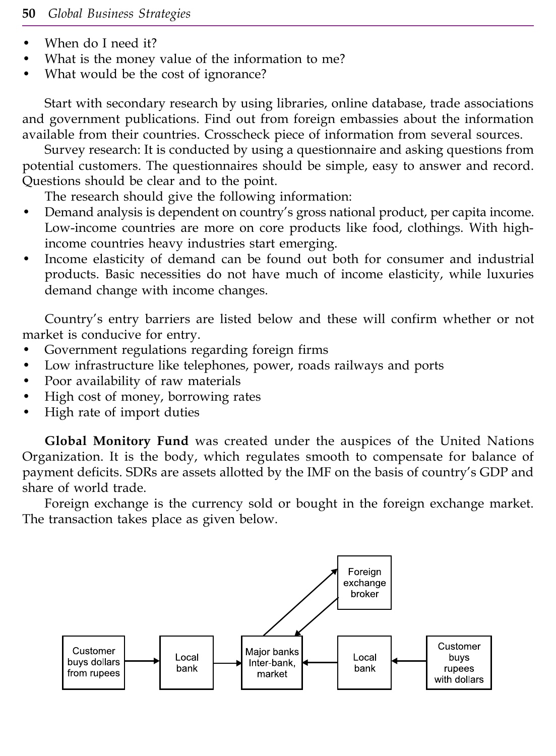- When do I need it?
- What is the money value of the information to me?
- What would be the cost of ignorance?

Start with secondary research by using libraries, online database, trade associations and government publications. Find out from foreign embassies about the information available from their countries. Crosscheck piece of information from several sources.

Survey research: It is conducted by using a questionnaire and asking questions from potential customers. The questionnaires should be simple, easy to answer and record. Questions should be clear and to the point.

The research should give the following information:

- Demand analysis is dependent on country's gross national product, per capita income. Low-income countries are more on core products like food, clothings. With highincome countries heavy industries start emerging.
- Income elasticity of demand can be found out both for consumer and industrial products. Basic necessities do not have much of income elasticity, while luxuries demand change with income changes.

Country's entry barriers are listed below and these will confirm whether or not market is conducive for entry.

- Government regulations regarding foreign firms
- Low infrastructure like telephones, power, roads railways and ports
- Poor availability of raw materials
- High cost of money, borrowing rates
- High rate of import duties

**Global Monitory Fund** was created under the auspices of the United Nations Organization. It is the body, which regulates smooth to compensate for balance of payment deficits. SDRs are assets allotted by the IMF on the basis of country's GDP and share of world trade.

Foreign exchange is the currency sold or bought in the foreign exchange market. The transaction takes place as given below.

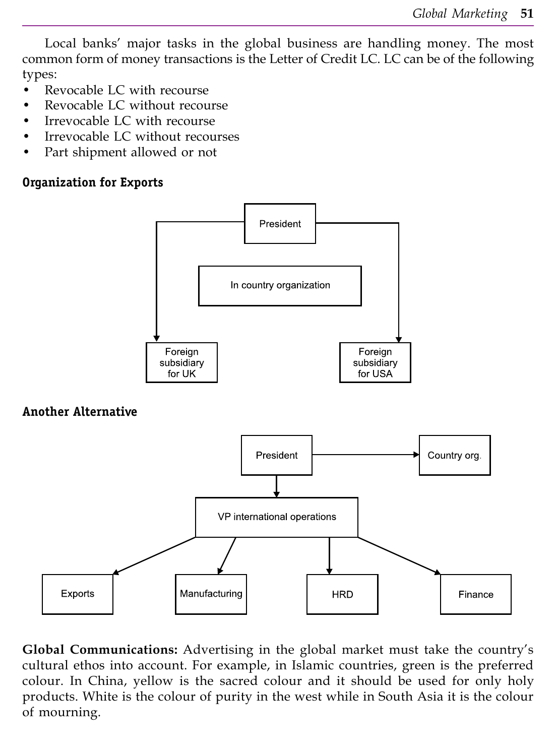Local banks' major tasks in the global business are handling money. The most common form of money transactions is the Letter of Credit LC. LC can be of the following types:

- Revocable LC with recourse
- Revocable LC without recourse
- Irrevocable LC with recourse
- Irrevocable LC without recourses
- Part shipment allowed or not

# **Organization for Exports**



**Global Communications:** Advertising in the global market must take the country's cultural ethos into account. For example, in Islamic countries, green is the preferred colour. In China, yellow is the sacred colour and it should be used for only holy products. White is the colour of purity in the west while in South Asia it is the colour of mourning.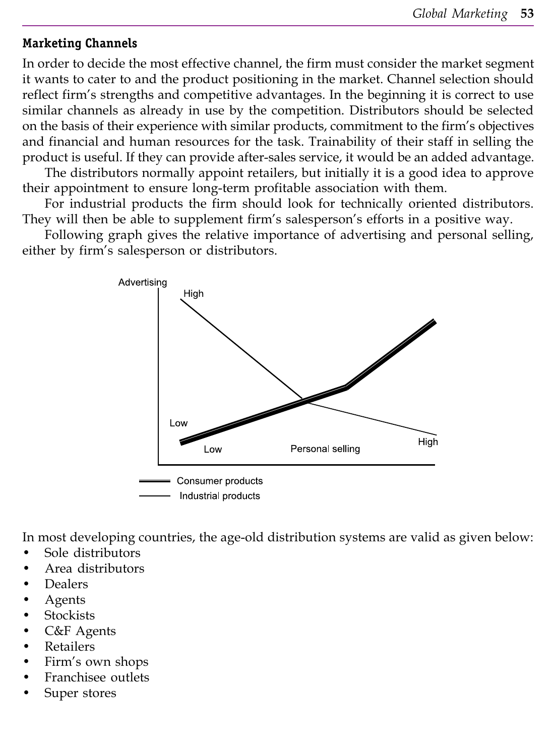#### **Marketing Channels**

In order to decide the most effective channel, the firm must consider the market segment it wants to cater to and the product positioning in the market. Channel selection should reflect firm's strengths and competitive advantages. In the beginning it is correct to use similar channels as already in use by the competition. Distributors should be selected on the basis of their experience with similar products, commitment to the firm's objectives and financial and human resources for the task. Trainability of their staff in selling the product is useful. If they can provide after-sales service, it would be an added advantage.

The distributors normally appoint retailers, but initially it is a good idea to approve their appointment to ensure long-term profitable association with them.

For industrial products the firm should look for technically oriented distributors. They will then be able to supplement firm's salesperson's efforts in a positive way.

Following graph gives the relative importance of advertising and personal selling, either by firm's salesperson or distributors.



In most developing countries, the age-old distribution systems are valid as given below:

- Sole distributors
- Area distributors
- Dealers
- Agents
- **Stockists**
- C&F Agents
- **Retailers**
- Firm's own shops
- Franchisee outlets
- Super stores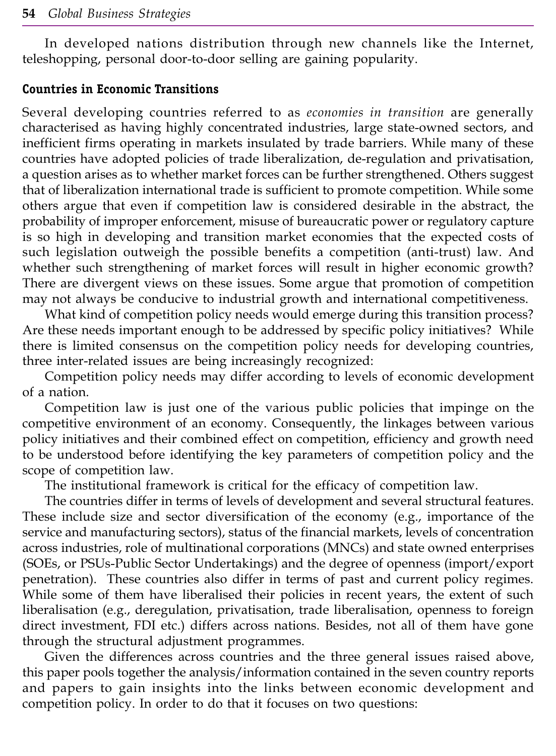In developed nations distribution through new channels like the Internet, teleshopping, personal door-to-door selling are gaining popularity.

#### **Countries in Economic Transitions**

Several developing countries referred to as *economies in transition* are generally characterised as having highly concentrated industries, large state-owned sectors, and inefficient firms operating in markets insulated by trade barriers. While many of these countries have adopted policies of trade liberalization, de-regulation and privatisation, a question arises as to whether market forces can be further strengthened. Others suggest that of liberalization international trade is sufficient to promote competition. While some others argue that even if competition law is considered desirable in the abstract, the probability of improper enforcement, misuse of bureaucratic power or regulatory capture is so high in developing and transition market economies that the expected costs of such legislation outweigh the possible benefits a competition (anti-trust) law. And whether such strengthening of market forces will result in higher economic growth? There are divergent views on these issues. Some argue that promotion of competition may not always be conducive to industrial growth and international competitiveness.

What kind of competition policy needs would emerge during this transition process? Are these needs important enough to be addressed by specific policy initiatives? While there is limited consensus on the competition policy needs for developing countries, three inter-related issues are being increasingly recognized:

Competition policy needs may differ according to levels of economic development of a nation.

Competition law is just one of the various public policies that impinge on the competitive environment of an economy. Consequently, the linkages between various policy initiatives and their combined effect on competition, efficiency and growth need to be understood before identifying the key parameters of competition policy and the scope of competition law.

The institutional framework is critical for the efficacy of competition law.

The countries differ in terms of levels of development and several structural features. These include size and sector diversification of the economy (e.g., importance of the service and manufacturing sectors), status of the financial markets, levels of concentration across industries, role of multinational corporations (MNCs) and state owned enterprises (SOEs, or PSUs-Public Sector Undertakings) and the degree of openness (import/export penetration). These countries also differ in terms of past and current policy regimes. While some of them have liberalised their policies in recent years, the extent of such liberalisation (e.g., deregulation, privatisation, trade liberalisation, openness to foreign direct investment, FDI etc.) differs across nations. Besides, not all of them have gone through the structural adjustment programmes.

Given the differences across countries and the three general issues raised above, this paper pools together the analysis/information contained in the seven country reports and papers to gain insights into the links between economic development and competition policy. In order to do that it focuses on two questions: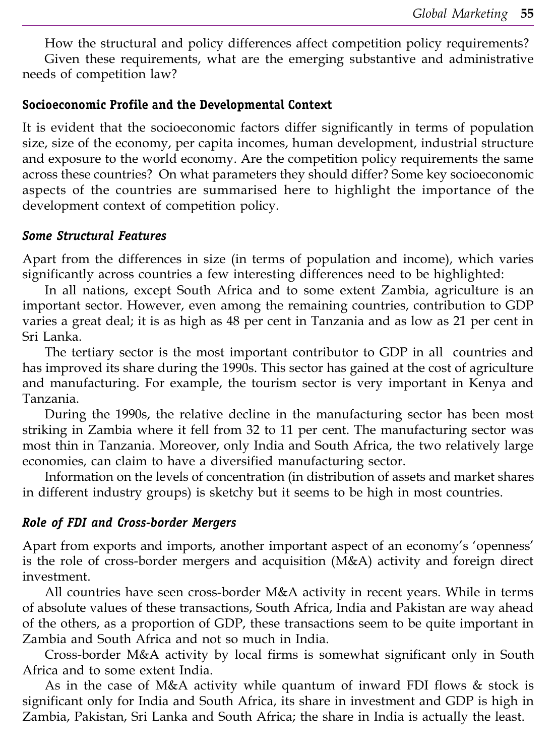How the structural and policy differences affect competition policy requirements? Given these requirements, what are the emerging substantive and administrative needs of competition law?

#### **Socioeconomic Profile and the Developmental Context**

It is evident that the socioeconomic factors differ significantly in terms of population size, size of the economy, per capita incomes, human development, industrial structure and exposure to the world economy. Are the competition policy requirements the same across these countries? On what parameters they should differ? Some key socioeconomic aspects of the countries are summarised here to highlight the importance of the development context of competition policy.

#### *Some Structural Features*

Apart from the differences in size (in terms of population and income), which varies significantly across countries a few interesting differences need to be highlighted:

In all nations, except South Africa and to some extent Zambia, agriculture is an important sector. However, even among the remaining countries, contribution to GDP varies a great deal; it is as high as 48 per cent in Tanzania and as low as 21 per cent in Sri Lanka.

The tertiary sector is the most important contributor to GDP in all countries and has improved its share during the 1990s. This sector has gained at the cost of agriculture and manufacturing. For example, the tourism sector is very important in Kenya and Tanzania.

During the 1990s, the relative decline in the manufacturing sector has been most striking in Zambia where it fell from 32 to 11 per cent. The manufacturing sector was most thin in Tanzania. Moreover, only India and South Africa, the two relatively large economies, can claim to have a diversified manufacturing sector.

Information on the levels of concentration (in distribution of assets and market shares in different industry groups) is sketchy but it seems to be high in most countries.

# *Role of FDI and Cross-border Mergers*

Apart from exports and imports, another important aspect of an economy's 'openness' is the role of cross-border mergers and acquisition (M&A) activity and foreign direct investment.

All countries have seen cross-border M&A activity in recent years. While in terms of absolute values of these transactions, South Africa, India and Pakistan are way ahead of the others, as a proportion of GDP, these transactions seem to be quite important in Zambia and South Africa and not so much in India.

Cross-border M&A activity by local firms is somewhat significant only in South Africa and to some extent India.

As in the case of M&A activity while quantum of inward FDI flows & stock is significant only for India and South Africa, its share in investment and GDP is high in Zambia, Pakistan, Sri Lanka and South Africa; the share in India is actually the least.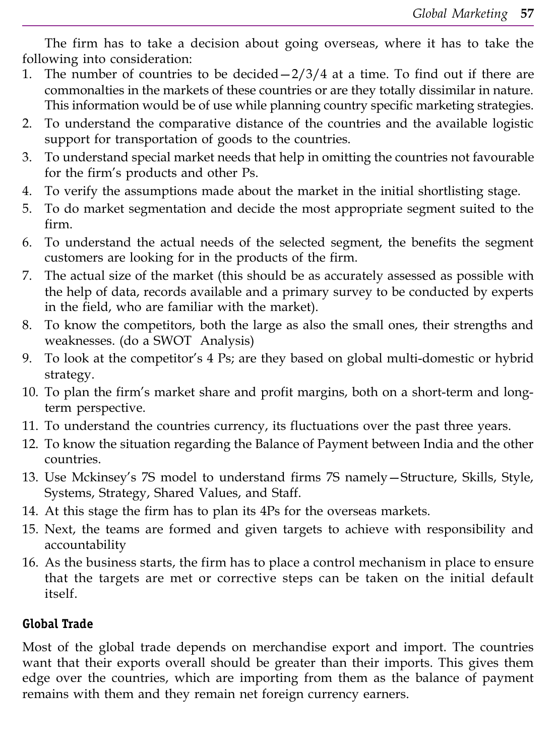The firm has to take a decision about going overseas, where it has to take the following into consideration:

- 1. The number of countries to be decided  $-\frac{2}{3}/4$  at a time. To find out if there are commonalties in the markets of these countries or are they totally dissimilar in nature. This information would be of use while planning country specific marketing strategies.
- 2. To understand the comparative distance of the countries and the available logistic support for transportation of goods to the countries.
- 3. To understand special market needs that help in omitting the countries not favourable for the firm's products and other Ps.
- 4. To verify the assumptions made about the market in the initial shortlisting stage.
- 5. To do market segmentation and decide the most appropriate segment suited to the firm.
- 6. To understand the actual needs of the selected segment, the benefits the segment customers are looking for in the products of the firm.
- 7. The actual size of the market (this should be as accurately assessed as possible with the help of data, records available and a primary survey to be conducted by experts in the field, who are familiar with the market).
- 8. To know the competitors, both the large as also the small ones, their strengths and weaknesses. (do a SWOT Analysis)
- 9. To look at the competitor's 4 Ps; are they based on global multi-domestic or hybrid strategy.
- 10. To plan the firm's market share and profit margins, both on a short-term and longterm perspective.
- 11. To understand the countries currency, its fluctuations over the past three years.
- 12. To know the situation regarding the Balance of Payment between India and the other countries.
- 13. Use Mckinsey's 7S model to understand firms 7S namely—Structure, Skills, Style, Systems, Strategy, Shared Values, and Staff.
- 14. At this stage the firm has to plan its 4Ps for the overseas markets.
- 15. Next, the teams are formed and given targets to achieve with responsibility and accountability
- 16. As the business starts, the firm has to place a control mechanism in place to ensure that the targets are met or corrective steps can be taken on the initial default itself.

# **Global Trade**

Most of the global trade depends on merchandise export and import. The countries want that their exports overall should be greater than their imports. This gives them edge over the countries, which are importing from them as the balance of payment remains with them and they remain net foreign currency earners.